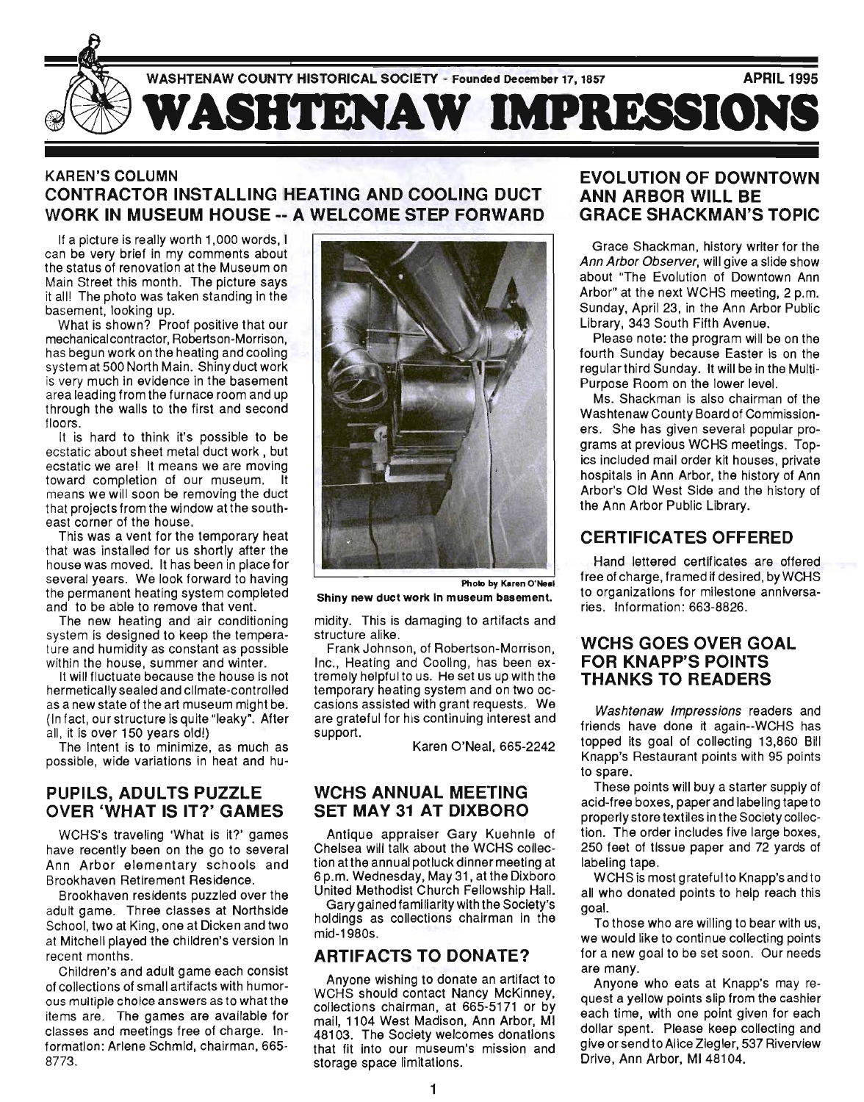

## KAREN'S COLUMN CONTRACTOR INSTALLING HEATING AND COOLING DUCT WORK IN MUSEUM HOUSE -- A WELCOME STEP FORWARD

If a picture is really worth 1,000 words, I can be very brief in my comments about the status of renovation at the Museum on Main Street this month. The picture says it all! The photo was taken standing in the basement, looking up.

What is shown? Proof positive that our mechanical contractor, Robertson-Morrison, has begun work on the heating and cooling system at 500 North Main. Shiny duct work is very much in evidence in the basement area leading from the furnace room and up through the walls to the first and second floors.

It is hard to think it's possible to be ecstatic about sheet metal duct work, but ecstatic we are! It means we are moving toward completion of our museum. It means we will soon be removing the duct that projects from the window at the southeast corner of the house.

This was a vent for the temporary heat that was installed for us shortly after the house was moved. It has been in place for several years. We look forward to having the permanent heating system completed and to be able to remove that vent.

The new heating and air conditioning system is designed to keep the temperature and humidity as constant as possible within the house, summer and winter.

It will fluctuate because the house is not hermetically sealed and climate-controlled as a new state of the art museum might be. (In fact, our structure is quite "leaky". After all, it is over 150 years old!)

The intent is to minimize, as much as possible, wide variations in heat and hu-

### PUPILS, ADULTS PUZZLE OVER 'WHAT IS IT?' GAMES

WCHS's traveling 'What is it?' games have recently been on the go to several Ann Arbor elementary schools and Brookhaven Retirement Residence.

Brookhaven residents puzzled over the adult game. Three classes at Northside School, two at King, one at Dicken and two at Mitchell played the children's version in recent months.

Children's and adult game each consist of collections of small artifacts with humorous multiple choice answers as to what the items are. The games are available for classes and meetings free of charge. Information: Arlene Schmid, chairman, 665- 8773.



Photo by Karen O·Neal

Shiny new duct work In museum basement.

midity. This is damaging to artifacts and structure alike.

Frank Johnson, of Robertson-Morrison, Inc., Heating and Cooling, has been extremely helpful to us. He set us up with the temporary heating system and on two occasions assisted with grant requests. We are grateful for his continuing interest and support.

Karen O'Neal, 665-2242

### WCHS ANNUAL MEETING SET MAY 31 AT DIXBORO

Antique appraiser Gary Kuehnle of Chelsea will talk about the WCHS collection atthe annual potluck dinner meeting at 6 p.m. Wednesday, May 31, at the Dixboro United Methodist Church Fellowship Hall.

Gary gained familiarity with the Society's holdings as collections chairman in the mid-1980s.

# ARTIFACTS TO DONATE?

Anyone wishing to donate an artifact to WCHS should contact Nancy McKinney, collections chairman, at 665-5171 or by mail, 1104 West Madison, Ann Arbor, MI 48103. The Society welcomes donations that fit into our museum's mission and storage space limitations.

### EVOLUTION OF DOWNTOWN ANN ARBOR WILL BE GRACE SHACKMAN'S TOPIC

Grace Shackman, history writer for the Ann Arbor Observer, will give a slide show about "The Evolution of Downtown Ann Arbor" at the next WCHS meeting, 2 p.m. Sunday, April 23, in the Ann Arbor Public Library, 343 South Fifth Avenue.

Please note: the program will be on the fourth Sunday because Easter is on the regular third Sunday. It will be in the Multi-Purpose Room on the lower level.

Ms. Shackman is also chairman of the Washtenaw County Board of Commissioners. She has given several popular programs at previous WCHS meetings. Topics included mail order kit houses, private hospitals in Ann Arbor, the history of Ann Arbor's Old West Side and the history of the Ann Arbor Public Library.

# CERTIFICATES OFFERED

Hand lettered certificates are offered free of charge, framed if desired, by WCHS to organizations for milestone anniversaries. Information: 663-8826.

### WCHS GOES OVER GOAL FOR KNAPP'S POINTS THANKS TO READERS

Washtenaw Impressions readers and friends have done it again--WCHS has topped its goal of collecting 13,860 Bill Knapp's Restaurant points with 95 points to spare.

These pOints will buy a starter supply of acid-free boxes, paper and labeling tape to properly store textiles in the Society collection. The order includes five large boxes, 250 feet of tissue paper and 72 yards of labeling tape.

WCHS is most grateful to Knapp's and to all who donated points to help reach this goal.

To those who are willing to bear with us, we would like to continue collecting points for a new goal to be set soon. Our needs are many.

Anyone who eats at Knapp's may request a yellow points slip from the cashier each time, with one point given for each dollar spent. Please keep collecting and give or send to Alice Ziegler, 537 Riverview Drive, Ann Arbor, MI 48104.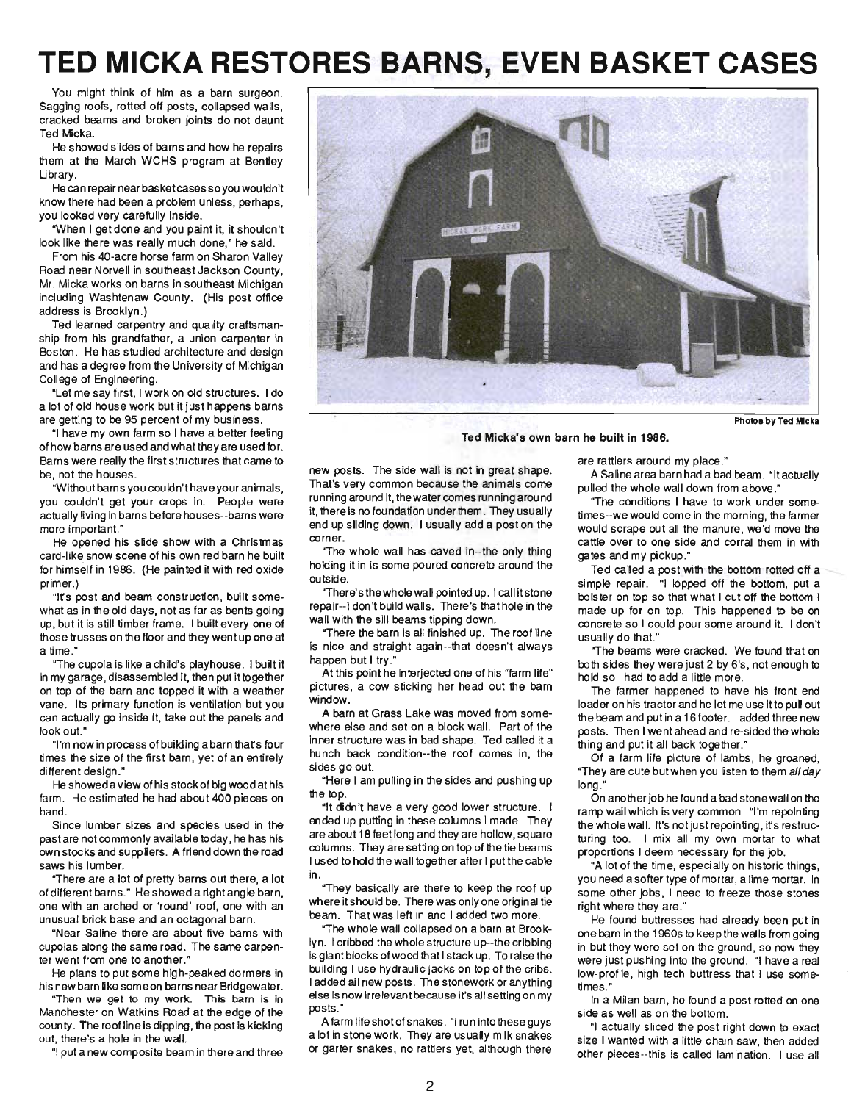# **TED MICKA RESTORES BARNS, EVEN BASKET CASES**

You might think of him as a barn surgeon. Sagging roofs, rotted off posts, collapsed walls, cracked beams and broken joints do not daunt Ted Micka.

He showed slides of barns and how he repairs them at the March WCHS program at Bendey Ubrary.

He can repair near basketcases soyou wouldn't know there had been a problem unless, perhaps, you looked very carefully inside.

·When I get done and you paint it, it shouldn't look like there was really much done," he said.

From his 4O-acre horse farm on Sharon Valley Road near Norvell in southeast Jackson County, Mr. Micka works on barns in southeast Michigan including Washtenaw County. (His post office address is Brooklyn .)

Ted learned carpentry and quality craftsmanship from his grandfather, a union carpenter in Boston. He has studied architecture and design and has a degree from the University of Michigan College of Engineering.

"Let me say first, I work on old structures. I do a lot of old house work but it just happens barns are getting to be 95 percent of my business.

"I have my own farm so I have a better feeling of how barns are used and what they are used for. Barns were really the first structures that came to be, not the houses.

"Without barns you couldn't have your animals, you couldn't get your crops in. People were actually living in barns before houses--barns were more important."

He opened his slide show with a Christmas card-like snow scene of his own red barn he built for himself in 1986. (He painted it with red oxide primer.)

"Irs post and beam construction, built somewhat as in the old days, not as far as bents going up, but it is still timber frame. I built every one of those trusses on the floor and they went up one at a time."

"The cupola is like a child's playhouse. I built it in my garage, disassembled it, then put it together on top of the barn and topped it with a weather vane. Its primary function is ventilation but you can actually go inside It, take out the panels and look out."

"I'm now in process of building a barn thafs four times the size of the first barn, yet of an entirely different design."

He showed a view of his stock of big wood athis farm. He estimated he had about 400 pieces on hand .

Since lumber sizes and species used in the past are not commonly available today, he has his own stocks and suppliers. A friend down the road saws his lumber.

"There are a lot of pretty barns out there, a lot of different barns." He showed a right angle barn, one with an arched or 'round' roof, one with an unusual brick base and an octagonal barn.

"Near Saline there are about five barns with cupolas along the same road. The same carpenter went from one to another."

He plans to put some high-peaked dormers in his new barn like someon barns near Bridgewater.

"Then we gel to my work. This barn is in Manchester on Watkins Road at the edge of the county. The roof line is dipping, the post is kicking out, there's a hole in the wall.

"I put a new composite beam in there and three



Ted Micka's own barn he built in 1986.

new posts. The side wall is not in great shape. That's very common because the animals come running around it, the water comes running around it, there is no foundation under them . They usually end up sliding down. I usually add a post on the corner.

"The whole wall has caved in--the only thing holding it in is some poured concrete around the outside.

"There's the whole wall pointed up. I call it stone repair--I don't build walls. There's that hole in the wall with the sill beams tipping down.

"There the barn is all finished up. The roof line is nice and straight again--that doesn't always happen but I try."

At this point he interjected one of his "farm life" pictures, a cow sticking her head out the barn window.

A barn at Grass Lake was moved from somewhere else and set on a block wall. Part of the inner structure was in bad shape. Ted called it a hunch back condition--the roof comes in, the sides go out.

"Here I am pulling in the sides and pushing up the top.

"It didn't have a very good lower structure. I ended up putting in these columns I made. They are about 18 feet long and they are hollow, square columns. They are setting on top of the tie beams I used to hold the wall together after I put the cable in.

"They basically are there to keep the roof up where it should be. There was only one original tie beam. That was left in and I added two more.

"The whole wall collapsed on a barn at Brooklyn. I cribbed the whole structure up--the cribbing is giant blocks of wood that I stack up. To raise the building I use hydraulic jacks on top of the cribs. I added all new posts. The stonework or anything else is now irrelevant because it's all setting on my posts."

A farm life shot of snakes. "I run into these guys a lot in stone work. They are usually milk snakes or garter snakes, no rattlers yet, although there are rattlers around my place."

A Saline area barn had a bad beam . "It actually pulled the whole wall down from above."

"The conditions I have to work under sometimes--we would come in the morning, the farmer would scrape out all the manure, we'd move the cattle over to one side and corral them in with gates and my pickup."

Ted called a post with the bottom rotted off a simple repair. "I lopped off the bottom, put a bolster on top so that what I cut off the bottom I made up for on top. This happened to be on concrete so I could pour some around it. I don't usually do that."

"The beams were cracked. We found that on both sides they were just 2 by 6's, not enough to hold so I had to add a little more.

The farmer happened to have his front end loader on his tractor and he let me use it to pull out the beam and put in a 16 footer. I added three new posts. Then I went ahead and re-sided the whole thing and put it all back together."

Of a farm life picture of lambs, he groaned, "They are cute but when you listen to them all day long."

On another job he found a bad stonewall on the ramp wall which is very common. "I'm repointing the whole wall. It's not just repointing, it's restructuring too. I mix all my own mortar to what proportions I deem necessary for the job.

"A lot of the time; especially on historic things, you need a softer type of mortar, a lime mortar. In some other jobs, I need to freeze those stones right where they are."

He found buttresses had already been put in one barn in the 1960s to keep the walls from going in but they were set on the ground, so now they were just pushing into the ground. "I have a real low-profile, high tech buttress that I use sometimes."

In a Milan barn, he found a post rotted on one side as well as on the bottom.

"I actually sliced the post right down to exact size I wanted with a little chain saw, then added other pieces--this is called lamination. I use all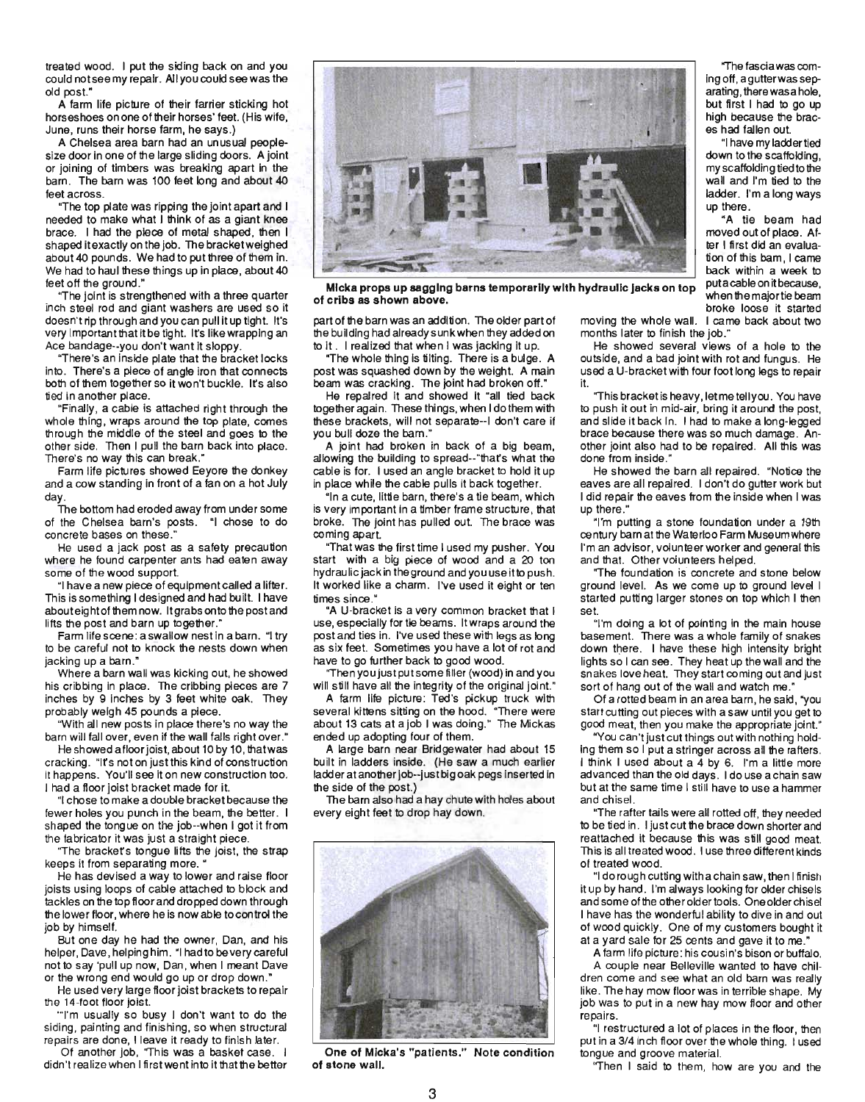treated wood. I put the siding back on and you could notseemy repair. All you could see was the old post."

A farm life picture of their farrier sticking hot horseshoes on one of their horses' feet. (His wife, June, runs their horse farm, he says .)

A Chelsea area barn had an unusual peoplesize door in one of the large sliding doors. A joint or joining of timbers was breaking apart in the barn. The barn was 100 feet long and about 40 feet across.

"The top plate was ripping the joint apart and I needed to make what I think of as a giant knee brace. I had the piece of metal shaped, then I shaped it exactly on the job. The bracketweighed about 40 pounds. We had to put three of them in. We had to haul these things up in place, about 40 feet off the ground."

"The joint is strengthened with a three quarter inch steel rod and giant washers are used so it doesn't rip through and you can pull it up tight. It's very important that itbe tight. It's like wrapping an Ace bandage--you don't want it sloppy.

"There's an inside plate that the bracket locks into. There's a piece of angle iron that connects both of them together so it won't buckle. Its also tied in another place.

"Finally, a cable is attached right through the whole thing, wraps around the top plate, comes through the middle of the steel and goes to the other side. Then I pull the barn back into place. There's no way this can break."

Farm life pictures showed Eeyore the donkey and a cow standing in front of a fan on a hot July day.

The bottom had eroded away from under some of the Chelsea barn's posts. "I chose to do concrete bases on these."

He used a jack post as a safety precaution where he found carpenter ants had eaten away some of the wood support.

"I have a new piece of equipment called a lifter. This is something I designed and had built. I have abouteight of them now. It grabs on to the post and lifts the post and barn up together."

Farm life scene : a swallow nest in a barn. "I try to be careful not to knock the nests down when jacking up a barn."

Where a barn wall was kicking out, he showed his cribbing in place. The cribbing pieces are 7 inches by 9 inches by 3 feet white oak. They probably weigh 45 pounds a piece.

"With all new posts in place there's no way the barn will fall over, even if the wall falls right over."

He showed afloor joist, about 10 by 10, that was cracking. "Irs not on justthis kind of construction it happens. You'll see it on new construction too. I had a floor joist bracket made for it.

"I chose to make a double bracket because the fewer holes you punch in the beam, the better. I shaped the torgue on the job--when I got it from the fabricator it was just a straight piece.

"The bracket's tongue lifts the joist, the strap keeps it from separating more. "

He has devised a way to lower and raise floor joists using loops of cable attached to block and tackles on the top floor and dropped down through the lower floor, where he is now able to control the job by himself.

But one day he had the owner, Dan, and his helper, Dave, helping him. "I had to be very careful not to say 'pull up now, Dan, when I meant Dave or the wrong end would go up or drop down."

He used very large floor joist brackets to repair the 14-foot floor joist.

"'J"m usually so busy I don't want to do the siding, painting and finishing, so when structural repairs are done, I leave it ready to finish later.

Of another job, 'This was a basket case. I didn't realize when I first went into it that the better



Micka props up sagging barns temporarily with hydraulic jacks on top micka prope up eagging varies temporarily which processes of cribs as shown above.

part of the barn was an addition. The older part of the building had already sunk when they added on to it. I realized that when I was jacking it up.

"The whole thing is tilting. There is a bulge. A post was squashed down by the weight. A main beam was cracking. The joint had broken off."

He repaired it and showed it "all tied back together again. These things, when I dothem with these brackets, will not separate--I don't care if you bull doze the bam."

A joint had broken in back of a big beam, allowing the building to spread--"thars what the cable is for. I used an angle bracket to hold it up in place while the cable pulls it back together.

"In a cute, little barn, there's a tie beam, which is very important in a timber frame structure, that broke. The joint has pulled out. The brace was coming apart.

"That was the first time I used my pusher. You start with a big piece of wood and a 20 ton hydraulic jack in the ground and you use itto push. It worked like a charm. I've used it eight or ten times since."

"A U-bracket is a very common bracket that I use, especially for tie beams. It wraps around the post and ties in. I've used these with legs as long as six feet. Sometimes you have a lot of rot and have to go further back to good wood.

"Then you just put some filler (wood) in and you will still have all the integrity of the original joint."

A farm life picture: Ted's pickup truck with several kittens sitting on the hood. "There were about 13 cats at ajob I was doing." The Mickas ended up adopting four of them.

A large barn near Bridgewater had about 15 built in ladders inside. (He saw a much earlier ladder at another job--just big oak pegs inserted in the side of the post.)

The barn also had a hay chute with holes about every eight feet to drop hay down.



One of Micka's "patients." Note condition of stone wall.

"The fasciawas coming off, a gutter was separating, there was a hole, but first I had to go up high because the braces had fallen out.

"I have my ladder tied down to the scaffolding, my scaffolding tied to the wall and I'm tied to the ladder. I'm a long ways up there.

"A tie beam had moved out of place. After I first did an evaluation of this bam, I came back within a week to<br>putacable on it because, broke loose it started

moving the whole wall. I came back about two months later to finish the job,"

He showed several views of a hole to the outside, and a bad joint with rot and fungus. He used a U-bracket with four foot long legs to repair it.

"This bracket is heavy, let me tell you. You have to push it out in mid-air, bring it around the post, and slide it back in. I had to make a long-legged brace because there was so much damage. Another joint also had to be repaired. All this was done from inside."

He showed the barn all repaired. "Notice the eaves are all repaired. I don't do gutter work but I did repair the eaves from the inside when I was up there."

"I'm putting a stone foundation under a 19th century barn at the Waterloo Farm Museum where I'm an advisor, volunteer worker and general this and that. Other volunteers helped.

"The foundation is concrete and stone below ground level. As we come up to ground level I started putting larger stones on top which I then set.

"I'm doing a lot of pointing in the main house basement. There was a whole family of snakes down there. I have these high intensity bright lights so I can see. They heat up the wall and the snakes love heat. They start coming out and just sort of hang out of the wall and watch me."

Of a rotted beam in an area barn, he said, "you start cutting out pieces with a saw until you get to good meat, then you make the appropriate joint."

"You can't just cut things out with nothing holding them so I put a stringer across all the rafters . I think I used about a 4 by 6. I'm a little more advanced than the old days . I do use a chain saw but at the same time I still have to use a hammer and chisel.

"The rafter tails were all rotted off, they needed to be tied in . I just cut the brace down shorter and reattached it because this was still good meat. This is all treated wood. I use three different kinds of treated wood.

"I dorough cutting with a chain saw, then I finish it up by hand. I'm always looking for older chisels and some of the other older tools. One older chisel I have has the wonderful ability to dive in and out of wood quickly. One of my customers bought it at a yard sale for 25 cents and gave it to me."

A farm life picture : his cousin's bison or buffalo.

A couple near Belleville wanted to have chil· dren come and see what an old barn was really like. The hay mow floor was in terrible shape. My job was to put in a new hay mow floor and other repairs.

"I restructured a lot of places in the floor, then put in a 3/4 inch floor over the whole thing. I used tongue and groove material.

"Then I said to them, how are you and the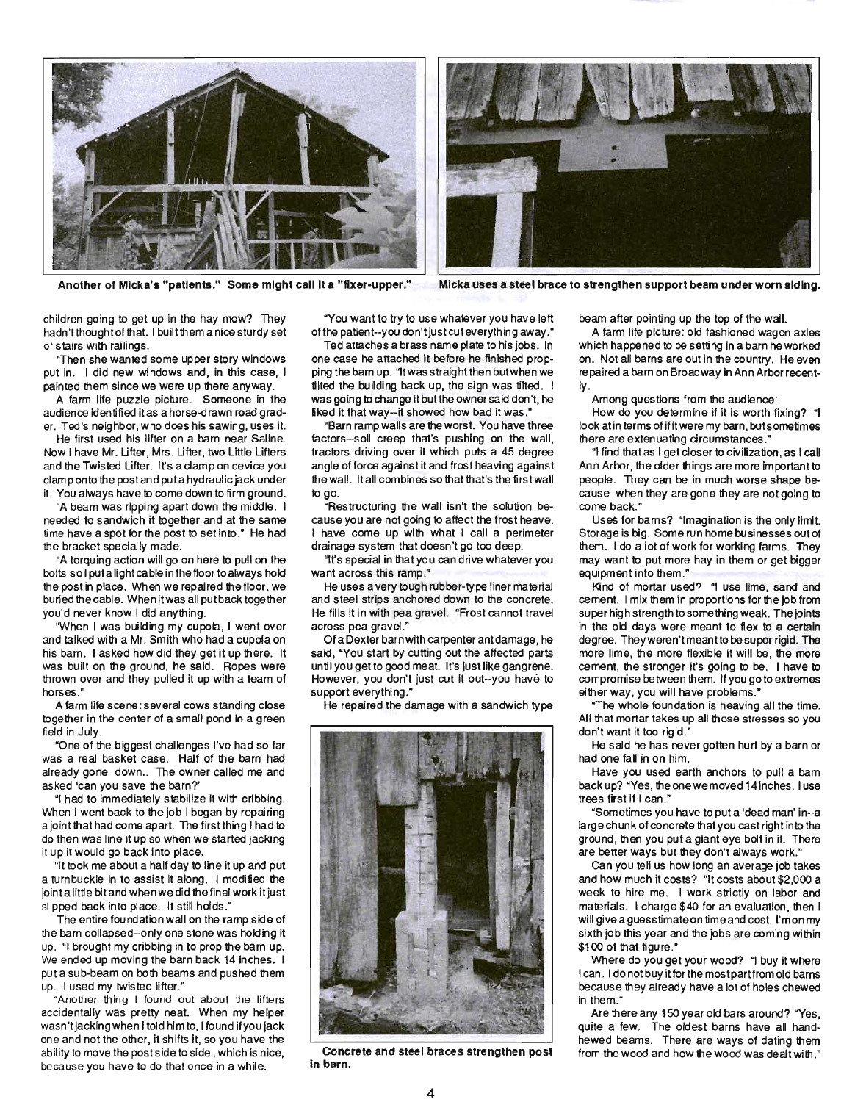



Another of Micka's "patients." Some might call It a "fixer-upper." Micka uses a steel brace to strengthen support beam under worn siding,

children going to get up in the hay mow? They hadn't thought of that. I built them a nice sturdy set of stairs with railings.

"Then she wanted some upper story windows put in . I did new windows and, in this case, I painted them since we were up there anyway.

A farm life puzzle picture. Someone in the audience identified itas a horse-drawn road grader. Ted's neighbor, who does his sawing, uses it.

He first used his lifter on a barn near Saline. Now I have Mr. Ufter, Mrs. Ufter, two Little Lifters and the Twisted Lifter. Irs a clamp on device you clamp onto the post and put a hydraulic jack under it. You always have to come down to firm ground.

"A beam was ripping apart down the middle. I needed to sandwich it together and at the same time have a spot for the post to set into." He had the bracket specially made.

"A torquing action will go on here to pull on the bolts so I put a light cable in the floor to always hold the post in place. When we repaired the floor, we buried the cable. When it was all putback together you'd never know I did anything.

"When I was building my cupola, I went over and talked with a Mr. Smith who had a cupola on his barn. I asked how did they get it up there. It was built on the ground, he said. Ropes were thrown over and they pulled it up with a team of horses."

A farm life scene : several cows standing close together in the center of a small pond in a green field in July.

"One of the biggest challenges I've had so far was a real basket case. Half of the barn had already gone down.. The owner called me and asked 'can you save the barn?'

"I had to immediately stabilize it with cribbing. When I went back to the job I began by repairing a joint that had come apart. The first thing I had to do then was line it up so when we started jacking it up it would go back into place.

"It took me about a half day to line it up and put a turnbuckle in to assist it along. I modified the jointa little bit and whenwedid the final work it just slipped back into place. It still holds."

The entire foundation wall on the ramp side of the barn collapsed--only one stone was holding it up. "I brought my cribbing in to prop the barn up. We ended up moving the barn back 14 inches. I put a sub-beam on both beams and pushed them up. I used my twisted lifter."

"Another thing I found out about the lifters accidentally was pretty neat. When my helper wasn't jacking when I told him to, I found if you jack one and not the other, it shifts it, so you have the ability to move the post side to side, which is nice, because you have to do that once in a while.

"You want to *try* to use whatever you have left of the patient--you don't just cut everything away."

Ted attaches a brass name plate to his jobs. In one case he attached it before he finished propping the barn up. "It was straight then butwhenwe tilted the building back up, the sign was tilted. I was going to change it butthe owner said don't, he liked it that way-it showed how bad it was.'

"Barn ramp walls are the worst. You have three factors--soil creep that's pushing on the Wall, tractors driving over it which puts a 45 degree angle of force against it and frost heaving against the wall. It all combines so that that's the first wall to go.

"Restructuring the wall isn't the solution because you are not going to affect the frost heave. I have come up with what I call a perimeter drainage system that doesn't go too deep.

"Irs special in that you can drive whatever you want across this ramp."

He uses a very tough rubber-type liner material and steel strips anchored down to the concrete. He fills it in with pea gravel. "Frost cannot travel across pea gravel."

Of a Dexter barn with carpenter ant damage, he said, "You start by cutting out the affected parts until you get to good meat. It's just like gangrene. However, you don't just cut it out--you have to support everything."

He repaired the damage with a sandwich type



Concrete and steel braces strengthen post in barn.

beam after pointing up the top of the Wall.

A farm life picture: old fashioned wagon axles which happened to be setting in a barn he worked on. Not all barns are out in the country. He even repaired a barn on Broadway in Ann Arbor recently.

Among questions from the audience:

How do you determine if it is worth fixing? "I look at in terms of ifitwere my barn, butsometimes there are extenuating circumstances."

"I find that as I get closer to civilization, as I call Ann Arbor, the older things are more important to people. They can be in much worse shape because when they are gone they are not going to come back."

Uses for barns? "Imagination is the only limit. Storage is big. Some run home businesses out of them. I do a lot of work for working farms. They may want to put more hay in them or get bigger equipment into them."

Kind of mortar used? "I use lime, sand and cement. I mix them in proportions for the job from super high strength to something weak. The joints in the old days were meant to flex to a certain degree. Theyweren't meantto be super rigid. The more lime, the more flexible it will be, the more cement, the stronger it's going to be. I have to compromise between them. If you go to extremes either way, you will have problems."

"The whole foundation is heaving all the time. All that mortar takes up all those stresses so you don't want it too rigid."

He said he has never gotten hurt by a barn or had one fall in on him.

Have you used earth anchors to pull a bam back up? "Yes, the onewe moved 14 inches. I use trees first if I can."

"Sometimes you have to put a 'dead man' in--a large chunk of concrete that you cast right into the ground, then you put a giant eye bolt in it. There are better ways but they don't always work."

Can you tell us how long an average job takes and how much it costs? "It costs about \$2,000 a week to hire me. I work strictly on labor and materials. I charge \$40 for an evaluation, then I will give a guesstimateon time and cost. I'mon my sixth job this year and the jobs are coming within \$100 of that figure."

Where do you get your wood? "I buy it where I can. I donot buy it for the mostpartfrom old barns because they already have a lot of holes chewed in them."

Are there any 150 year old bars around? "Yes, quite a few. The oldest barns have all handhewed beams. There are ways of dating them from the wood and how the wood was dealt with."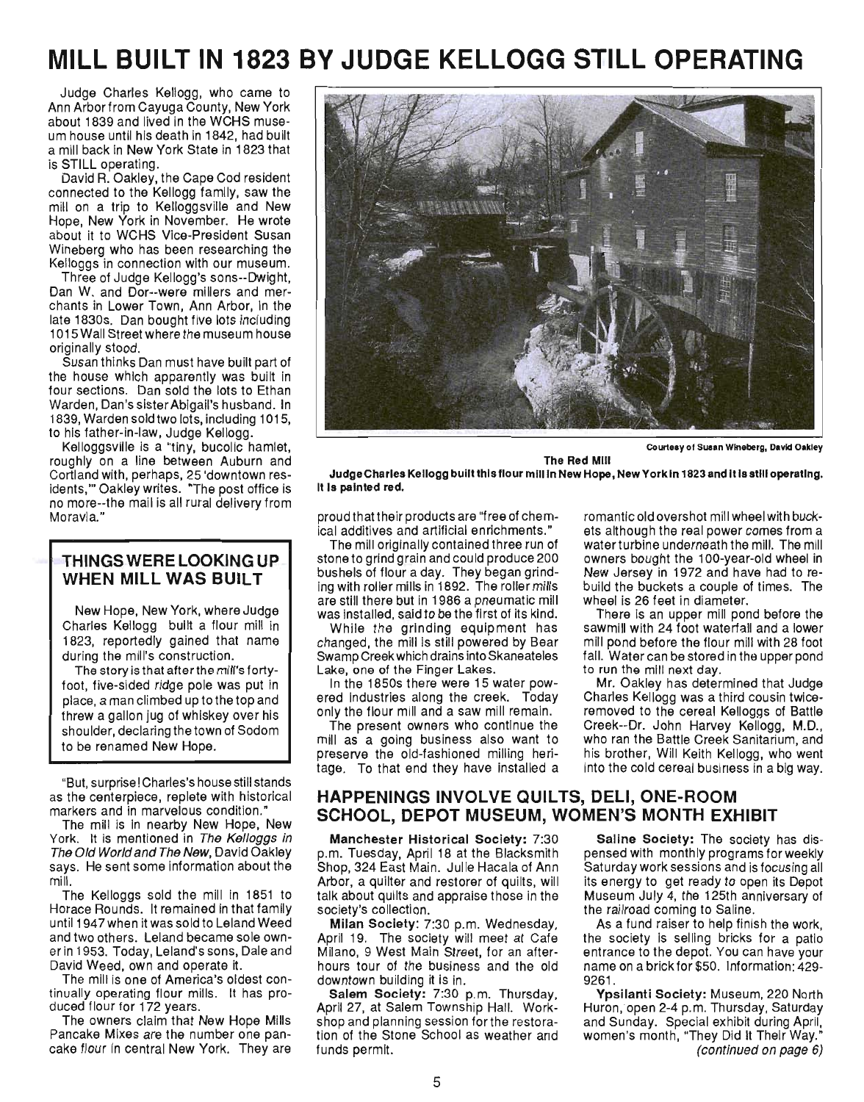# **MILL BUILT IN 1823 BY JUDGE KELLOGG STILL OPERATING**

Judge Charles Kellogg, who came to Ann Arborfrom Cayuga County, New York about 1839 and lived in the WCHS museum house until his death in 1842, had built a mill back in New York State in 1823 that is STILL operating.

David R. Oakley, the Cape Cod resident connected to the Kellogg family, saw the mill on a trip to Kelloggsville and New Hope, New York in November. He wrote about it to WCHS Vice-President Susan Wineberg who has been researching the Kelloggs in connection with our museum.

Three of Judge Kellogg's sons--Dwight, Dan W. and Dor--were millers and merchants in Lower Town, Ann Arbor, in the late 1830s. Dan bought five lots including 1015 Wall Street where the museum house originally stood.

Susan thinks Dan must have built part of the house which apparently was built in four sections. Dan sold the lots to Ethan Warden, Dan's sister Abigail's husband. In 1839, Warden sold two lots, including 1015, to his father-in-law, Judge Kellogg.

Kelloggsville is a "tiny, bucolic hamlet, roughly on a line between Auburn and Cortland with, perhaps, 25 'downtown residents," Oakley writes. "The post office is no more--the mail is all rural delivery from Moravia."

### THINGS WERE LOOKING UP WHEN MILL WAS BUILT

New Hope, New York, where Judge Charles Kellogg built a flour mill in 1823, reportedly gained that name during the mill's construction.

The story is that afterthe mill's fortyfoot, five-sided ridge pole was put in place, a man climbed up to the top and threw a gallon jug of whiskey over his shoulder, declaring the town of Sodom to be renamed New Hope.

"But, surprise! Charles's house still stands as the centerpiece, replete with historical markers and in marvelous condition."

The mill is in nearby New Hope, New York. It is mentioned in The Kellogas in The Old World and The New, David Oakley says. He sent some information about the mill.

The Kelloggs sold the mill in 1851 to Horace Rounds. It remained in that family until 1947 when it was sold to Leland Weed and two others. Leland became sole owner in 1953. Today, Leland's sons, Dale and David Weed, own and operate it.

The mill is one of America's oldest continually operating flour mills. It has produced flour for 172 years.

The owners claim that New Hope Mills Pancake Mixes are the number one pancake flour in central New York. They are



Courtesy 01 Suaan Wineberg, David Oakley

The Red Mill JudgeCharles Kellogg built this flour mill In New Hope, New York In 1823 and It Is stili operating. It Is painted red.

proud that their products are "free of chemical additives and artificial enrichments."

The mill originally contained three run of stoneto grind grain and could produce 200 bushels of flour a day. They began grinding with roller mills in 1892. The roller mills are still there but in 1986 a pneumatic mill was installed, said to be the first of its kind.

While the grinding equipment has changed, the mill is still powered by Bear Swamp Creek which drains into Skaneateles Lake, one of the Finger Lakes.

In the 1850s there were 15 water powered industries along the creek. Today only the flour mill and a saw mill remain.

The present owners who continue the mill as a going business also want to preserve the old-fashioned milling heritage. To that end they have installed a romantic old overshot mill wheel with buckets although the real power comes from a water turbine underneath the mill. The mill owners bought the 100-year-old wheel in New Jersey in 1972 and have had to rebuild the buckets a couple of times. The wheel is 26 feet in diameter.

There is an upper mill pond before the sawmill with 24 foot waterfall and a lower mill pond before the flour mill with 28 foot fall. Water can be stored in the upper pond to run the mill next day.

Mr. Oakley has determined that Judge Charles Kellogg was a third cousin twiceremoved to the cereal Kelloggs of Battle Creek--Dr. John Harvey Kellogg, M.D., who ran the Battle Creek Sanitarium, and his brother, Will Keith Kellogg, who went into the cold cereal business in a big way.

### HAPPENINGS INVOLVE QUILTS, DELI, ONE-ROOM SCHOOL, DEPOT MUSEUM, WOMEN'S MONTH EXHIBIT

Manchester Historical Society: 7:30 p.m. Tuesday, April 18 at the Blacksmith Shop, 324 East Main. Julie Hacala of Ann Arbor, a quilter and restorer of quilts, will talk about quilts and appraise those in the society's collection.

Milan Society: 7:30 p.m. Wednesday, April 19. The society will meet at Cafe Milano, 9 West Main Street, for an afterhours tour of the business and the old downtown building it is in.

Salem Society: 7:30 p.m. Thursday, April 27, at Salem Township Hall. Workshop and planning session forthe restoration of the Stone School as weather and funds permit.

Saline Society: The society has dispensed with monthly programs for weekly Saturday work sessions and is focusing all its energy to get ready to open its Depot Museum July 4, the 125th anniversary of the railroad coming to Saline.

As a fund raiser to help finish the work, the society is selling bricks for a patio entrance to the depot. You can have your name on a brick for \$50. Information: 429- 9261.

Ypsilanti Society: Museum, 220 North Huron, open 2-4 p.m. Thursday, Saturday and Sunday. Special exhibit during April, women's month, "They Did It Their Way." (continued on page 6)